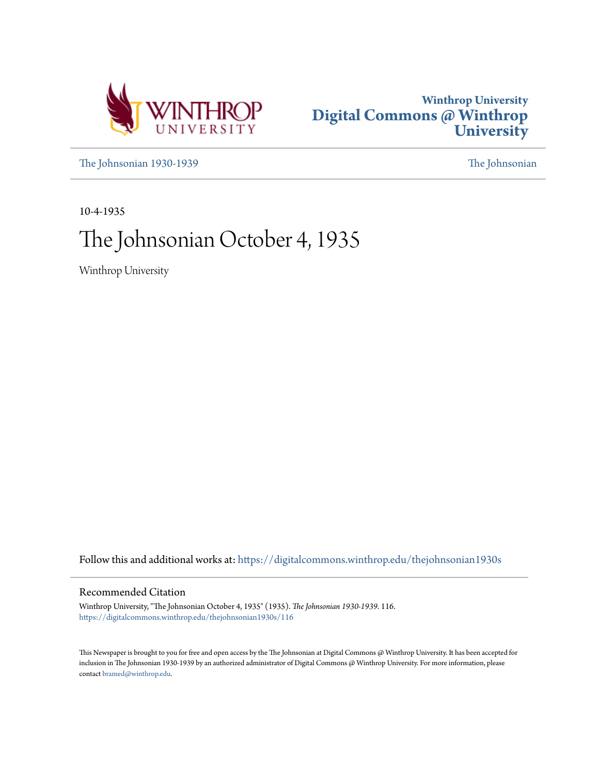



[The Johnsonian 1930-1939](https://digitalcommons.winthrop.edu/thejohnsonian1930s?utm_source=digitalcommons.winthrop.edu%2Fthejohnsonian1930s%2F116&utm_medium=PDF&utm_campaign=PDFCoverPages) [The Johnsonian](https://digitalcommons.winthrop.edu/thejohnsonian_newspaper?utm_source=digitalcommons.winthrop.edu%2Fthejohnsonian1930s%2F116&utm_medium=PDF&utm_campaign=PDFCoverPages)

10-4-1935

# The Johnsonian October 4, 1935

Winthrop University

Follow this and additional works at: [https://digitalcommons.winthrop.edu/thejohnsonian1930s](https://digitalcommons.winthrop.edu/thejohnsonian1930s?utm_source=digitalcommons.winthrop.edu%2Fthejohnsonian1930s%2F116&utm_medium=PDF&utm_campaign=PDFCoverPages)

# Recommended Citation

Winthrop University, "The Johnsonian October 4, 1935" (1935). *The Johnsonian 1930-1939*. 116. [https://digitalcommons.winthrop.edu/thejohnsonian1930s/116](https://digitalcommons.winthrop.edu/thejohnsonian1930s/116?utm_source=digitalcommons.winthrop.edu%2Fthejohnsonian1930s%2F116&utm_medium=PDF&utm_campaign=PDFCoverPages)

This Newspaper is brought to you for free and open access by the The Johnsonian at Digital Commons @ Winthrop University. It has been accepted for inclusion in The Johnsonian 1930-1939 by an authorized administrator of Digital Commons @ Winthrop University. For more information, please contact [bramed@winthrop.edu](mailto:bramed@winthrop.edu).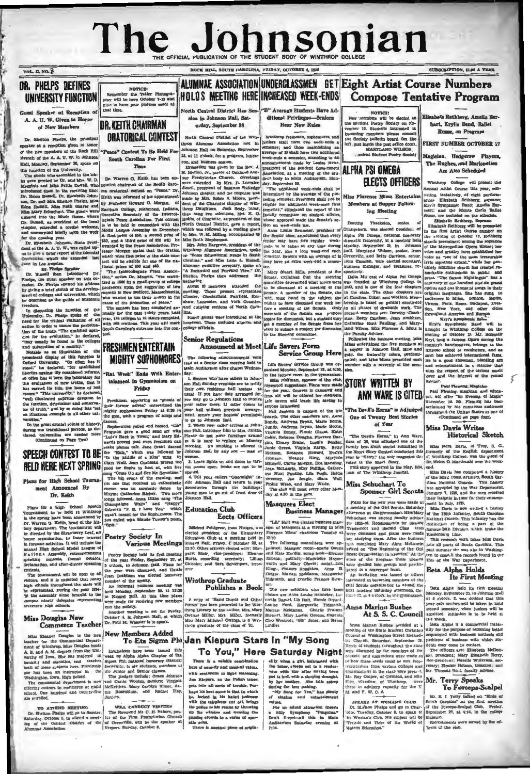# The Johnsonial HE OFFICIAL PUBLICATION OF THE STUDENT BODY OF WINTHROP COL

ROCK HILL, SOUTH CAROLINA, FRIDAY, OCTOBER 4, 19

SUBSCRIPTION, SLO A YEAR

UNIVERSITY FUNCTION eaker at Reception of  $at$   $\mathcal{R}_i$ A. A. U. W. Given in Honor

DR. PHELPS DEFINES

**VOL. 11, NO. 3** 

of New Members Dr. Shelton Phalpa, the principal

lon given in he speaker at a reception given in honor<br>of the new members of the Rock Hill

Dr. Warren G. Kella, bæd et de ha i den ende was severe den average and the severe severe and the second of the second of the second of the second of the second of the second of the second of the second of the second of t Plans for a high School Speech Tournament to be held at Winthrop<br>in the apring have been announced by<br>Dr. Warren G. Keith, head of the his-<br>tory department. The tournament will tory department. The tournament will be directed by the Sicar<br>beated by the Sicar-Breat hours or equation to force interest<br>in forenue activities. It will include the<br>annual High School Model Leape of N a tion a Assembly,

Commerce Ieacher<br>
Main Eleanor Douglas Is the new New Members Added<br>
Intent for the Onmarcial Depart-<br>
To Eta Sigma Phi<br>
neater for the Onmarcial Depart-<br>
A, B, and A, M, depress from the Uni-<br>
Frications have been issued

ALUMNAE ASSOCIATION UNDERCLASSMEN GET Eight Artist Course Numbers **NOTICES** NOTICE!<br>Photographer will be here October 7-12 and<br>plan to have your pictures unade that time. HOLDS MEETING HERE INCREASED WEEK-ENDS Compose Tentative Program

**DR. KEITH CHAIRMAN** ORATORICAL CONTEST

"Peace" Contest To Be Held Fo

meaber at a reception of the Robin Phono Party Contest To Be Held For Manuel Street in a stress of the numeric of the Robin Phono Street To Be Held For Manuel Manuel Manuel Manuel Manuel Manuel Manuel Manuel Manuel Manue

# The following announcements were

to a literation of some signal polynomial mightly supposite the graph and by the graph of some signal points of history, dances.<br>
The graph is all spherical points of history, dances.<br>
the graph is the signal consideratio 3. Learn lines.<br>
Out room of the control of the control of the control of the control of the control of the control of the control of the control of the control of the control of the control of the control of the control o

TO ATTEND MEETING WILL CONDUCT VESTERS Dr. Shelton Fhelps will go to Sumter. The Reversed Mr. C. H. Nahorn, passaged and the conduct of the meeting of the control in the fluxe Fresh resolution Church in the Magnetic of th

North Central District Has Ses- "B" Average Students Have Adsion in Johnson Hall, Sat-<br>urday, September 28 ditional Privileges-Seniors Hear New Rules

Winthrop freshmen, sophomores, and<br>juntors shall have two week-ends a semester; and those maintaining an<br>average of B shall have two additional<br>week-ends a semester, according to an<br>exceeding to an exceeding to an<br>exceedi North Central District of the Winarop Alumnas Association met in catego Antonium Association met mi<br>Johnson Hall on Saturday, September<br>28. at 11 o'clock, for a program, lunch-22, at 11 o'cloca, sure from,<br>con, and business mession,<br>Invocation was given by the Rev. J.<br>H. Marion, Jr., pastor of Oakland Ave-<br>H. Marion, Jr., pastor of Oakland Ave-

Service Group Here

The following announcements were<br>
read at Service Group Here<br>
read at Sense estimates held in 1146 Gaven's expression of the service of<br>roup was or-<br>
146 And Audiovium site readel Wednes-<br>
gamined Monday. September 23, at

seas succession, may remain the Hurt Pauling. Like Pugh, Helt<br>Sweeney, Jac Sengte, Chara Wa<br>Pinkic Webb, and Mary White. Wall The club will meet every other Mon-

**Masquers Elect** 

rainea.<br>
Fier an added attraction there's<br>
a Silly Sympheny "Peaguina."<br>
Den't forget-all this in Main<br>
Andi<br>
Andistan Sainchay evening at<br>
Andistan Sainchay evening at

# To You," Here Saturday Night and we have a given the set of the state of the famous create the state when we can be a state of the state of the state of the state of the state of the state of the state of the state of the state of the state of the sta

There is a salable combination<br>here of comedy and musical values, with rentimens as light sea Jan Kiepurs, as the Polish tener, gets into all sorts of trouble. Pergris inio all sorts of trouble. Per-haps lits cards that in which help<br>haps lits best serve is that in which the trademons of the language<br>the displace and off, belong who wish the police to halt renease by throwing<br>my the

NOTICE!<br>New members will be elected to<br>the Student Postry Society on No-<br>vember 16. Students interested in becoming members please consult the Society bulletin board (on the fit, just maide the post of the MARYLAND WILSON,

can bustiness, seeming the same of the Blanck Award and the same of the Same of the Same of Columb Award and Award and the same of the Same of the Same of the Same of the Same of the Same of the Same of the Same of the Sa

the Paculty Adviser.<br>
Pollowing the business meeting, Miss<br>
Miss entertained the five members at a upper in Johnson Hall, Blue and<br>
supper in Johnson Hall, Blue and<br>
suld, the fraternity colors, predominated;<br>
and Miss Mis er with a souvenir  $\frac{1}{2}$ 

# **STORY WRITTEN BY ANN WARE IS CITED** EAST PERSON FRAGE CONTRACT PAST PERSON FOR THE SAME CONTRACT PART OF A SECTION OF A SAME CONTRACT OF A MODEL PROPERTY OF A MODEL PROPERTY OF A MODEL PROPERTY OF A SHAPE CONTRACT PROPERTY OF A MODEL PROP

**One of Twenty Best Stories** of Year

The Devils Hammar by Ann Ware.<br>
class of 38, was adjudged one of the twenty best short stories a<br>summitted in the Bineri Story Centert conducted this Bineri Story Center<br>
year by "Story," the only magnetics delined the Sto

The Blue This control that formerly of the English department of the English depends on the Son of the Son of the Son of the Son of The Maximum of the Son of The Maximum of the Son of The Well and the Son of The Well and

th Rethberg, Amelia Earhart, Kryl's Band, Ballet Russe, on Program

**FIRST NUMBER OCTOBER 17** 

Magician, Hedgerow Players, The Rughes, and Marionettes Are Also Scheduled

Winthron Gollege will present the winthrop Conege will present the<br>Annual Artht Course this year, con-<br>sisting. tentatively, of eight perform-<br>ances. Elisabeth Rethberg, soprano; ance. Elizabeth Rehberg, soymano;<br>
Englis Eymphonic Rand; Amalia Ex-<br>
hari; and the Monte Carlo Ballet<br>
Russ, are included on the schedule.<br>
Russ, Elizabeth Rehberg, Soymano<br>
Elizabeth Rehberg, Soymano<br>
Elizabeth Rehberg,

stands preeminent among the sopran of the Metropolitan Opera H her voice and artistry have established her voice as "one of the most treasurable<br>lyric sopranos extant," while her genuinely feminine charm has creat markable enthusiasm i ism in public and rale" has a repertory of one hundred and six grand opens and one thousead songs in their<br>addenses for has sump to<br>addenses in Milan, London. Berlin,<br>Venna, Paris, Rome, Budapest, Drea-<br>den, New York, and other eitles<br>throughout America and Europe.<br>Kryl's Symphonic Bases

Kryl's Symphonic<br>Kryl's Symphonic Be nd will Ery's Symphonic Band will be builted on the evening of October 25. Mr. Bohumir<br>Ery), long a fanyous figure arrong the<br>Ery), long a fanyous figure arrong the<br>cuntry's bandmasters, belongs to the<br>virtuoso school of conductor wirtuoso mehodo el conductora, and as<br>signal anno 25 de la a good showman, blending art and entertainment in a manier that<br>is and entertainment in a manier that wins the respect of the cerious music<br>lover and the interest

"The Devil's Horns" is Adjudged acclaimed by his numerous audio throughout the United States as one of (Continued on page four

### Miss Davis Writes **Historical Sketch**

Miss Nora Davis, of Troy, S. C.,<br>formerly of the English department<br>of Winthrop College, was the guest of<br>Dr. Helen O. Macdonald over the week-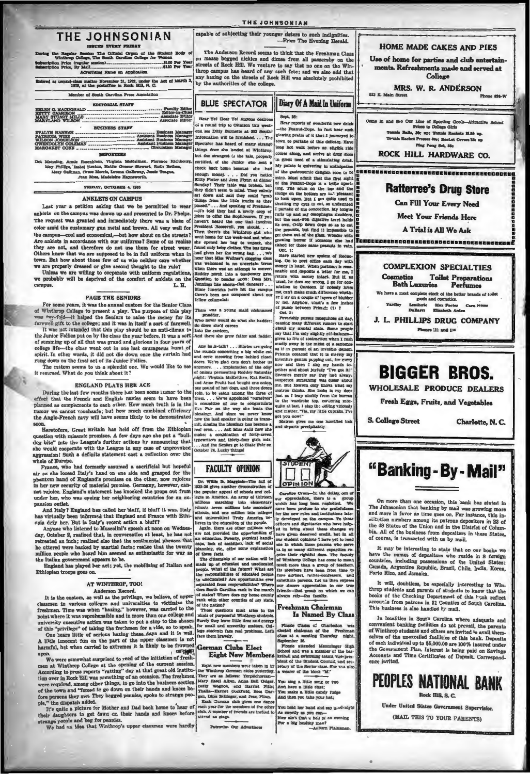## THE JOHNSONIAN **TESTION WERE FRIDAY**

ting the Regular Se setion The Official Organ of the Studen, The South Carolina College for We dent Body of \$1.00 Per Year eription Price (regular<br>seription Price, By Mall or Rat

ared as zecond-class matter November 31, 1923, under the Act of March 1979, at the postoffice in Rock Hill, R. C.

# Member of South Carolina Press Associati

| <b>EDITORIAL STAFF</b> |
|------------------------|
|                        |
|                        |
|                        |
| <b>BUSINESS STAFF</b>  |
|                        |
|                        |
|                        |
|                        |
| <b>BRINGET RES</b>     |

Manning, Am<br/>ie Rosenhlum, Virginia McKeithen, Florence<br>May Fhillips, Izabel Keaton, Hattle Greene Stewart, Ruth B<br/>e May Galhnan, Grace Noorris, Lorence Oalloway, Jeans Monthly, Corresponding, <br/> Jean Mosa, Madel to Teams

FRIDAY, OCTOBER 4, 1935

### ANKLETS ON CAMPIIS

# Last year a petition asking that we be permitted to we

anklets on the campus was drawn up and presented to Dr. Phelps. The request was granted and immediately there was a blaze of mary gun metal and brown. All very well for color amid the cust cool and econo mical,-but how about on the streets? Are ankiets in accordance with our uniforms? Some of us realize they are not, and therefore do not use them for street wear. Others know that we are supposed to be in full uniform when in town. But how about those few of Are anklets in accordance with our uniforms? Some of us realize

## **PAGE THE SENIORS**

For some years, it was the annual custom for the Senior Clas of Winthrop College to present a play. The purpose of this play<br>was 'wy-fold--it helped the Seniors to raise the money for its<br>was 'wy-fold--it helped the Seniors to raise the money for its<br>farewell gift to the college; an It was not intended that this play should be an anti-climax to

It was not intended that this play should be an anti-climax to the Junior Follias put on by the class the year before. It was a sort of summing up of all that was grand and glorious in four years of college life—the class rung down on the final act of its Junior Follies.

The custom seems to us a splendid one. We would like to see<br>it resumed. What do you think about it?

## **ENGLAND PLAYS HER ACE**

During the last few wonths there has been some numer to the effect that the French and English navies seem to have been planned as complements to each other. How much truth is in the runor we cannot vouchastle; but how muc the Anglo-French navy will have seems likely to be demonstrated

Heretofore, Great Britain has held off from the Ethiopian question with miasmic promises. A few days ago she put a "bull-<br>dog bite" into the League's further actions by announcing that would cooperate with the League in any case of unprovoked ah. aggres whole of Europe

whose or surveye. The constant of the secretive assemble of the present as the loosed Italy's hand on one alde and grasped for the phantom hand of England's promises on the other, now rejoices in the controlling promise in not rejoice. England's statement has knocked the props out from under her, who was eyeing ber neighboring countries for an expansion outlet.

And Italy? Enginnd has called her bluff, if hluff it was. Italy And itsiy I Enginand has caused her burit, it must it was. Italy has virtually been informed that Enginand and France with Ethiopia defy her. But is Italy's recent action a bluff?<br>Anyone who listened to Mussolini's speech

ated an inch; realized also that the sentimental phrases that<br>itered were backed by martial facts; realize that the twenty he uttered were b In a stress were parameter of maximulately reminded and the extent of the Italian government appears to be.<br>the Italian government appears to be.<br>England has played ber act; yet, the mobilising of Italian and

goes on. Ethiop ian troot

# AT WINTHROP, TOO!

Anderson Record.<br>It is the custom, as well as the privilege, we believe, of upp It is the custom, as well as the privilege, we believe, of upper<br>classmen in various colleges and universities to victimize the<br>freehomen. Time was when "haning," bowever, was carried to the<br>point where it was reprehensib

**DETENTE** up

We were somewhat surprised to read of the initiation of fresh men at Winthrop College at the opening of the current session<br>According to press reports "ratting" day at that great old institution over in Rock Hill was something of an occasion. The fresh Now over in most man was convenience of an occasion a net recentred were required, among other things, to go into the business section of the town and "forced to go down on their hands and knees before parsons they met. Th fore parsons they met.<br>ple," the dispatch adde

," the dispatch added.<br>It's quite a picture for Mother and Dad back home to hear of It's quite a picture for mother and beat outce nome to near the<br>dring recylens to get down on their hands and knees before strange pools and beg for penniss.<br>trange for the bad in We had in the bad in the bad in the bad in

### THE JOHNSONIAN

capable of subjecting their younger sisters to such indignities. From The French Beach

The Anderson Record seems to think that the Freshman Class on masse begred nickles and dimes from all passersby on the streets of Rock Hill. We venture to say that no one on the Win-throp campus has heard of any such fact

### Diary Of A Maid In Uniform **BLUE SPECTATOR** Band BR. **Hear Vel Hear Yel Antone destr**

nd trip to Clems of a round trip to Clemson this week-<br>end see Ditty Burnette at 302 South: o armamos<br>will be due M. . . . The Speciator has heard of many strange ce she landed at Winthrop, ertified, of the Junior sho sent a

eck back home because ahe had enough money.... Did you not<br>lee enough money.... Did you notlee<br>Eitty Foster and Jean Flynn at dinner<br>Sunday? Their table was broken, but<br>they didn't seem to mind They calmiy<br>sat down and said they could "grab s from the little trucks as they

hings from the little trucks as they<br>assed."...And speaking of Freehmen<br>-it's told they had a lovely crop of<br>okes to offer the Sophomorea, If you 

There was a young maid nicknam<br>Shadder.<br>Who never would do what she hadde<br>So down she'd careen<br>Into the canteen,<br>And there she grew fatter and fadd

Le rounds concerning a hig white can go<br>tuil the rounds concerning as the same going and certe meanwing from behind close<br>is done. We're glad coins don't bother unit of the displacement of the<br>done of column permetting Ro Any bask-talk? . . . Stories makes a combination of forty-<br>typewriters and thirty-four girls

rs go to State P. ... And the Seniors a<br>October 24, Lucky thi

# **FACULTY OPINION**

Dr. Willie D. Magginis-The fall of Dr. Willis D. Marginla-The fall of Software<br>DES-36 gives another demonstration of the popular appear of subsols and collected<br>in the popular appear of includes and collected the localization of<br>subsols, several millions in

planning, etc.,<br>of these facts.

i.<br>ship of our nation will be The el The cliterality of our nation will be made up of educated and uned<br>unclousted and uneducated property proper What of the future? What are<br>the responsibilities of educated propic to unclusted<br> $\hbar$  are opportunities every

states? Where does my home county

of the nation? These questions must arise in the minds of purposeful Winkhrop students.<br>Surely they leave title these and energy they have the Surely they leave title these and energy for grading face real preblemegu standard text

## German Clubs Elect **Eight New Members**

and the Windows of the Michael Hart and the Windows Chart and the Windows Chart and the Windows Chart and Hart and Hart and Hart and Hart and Hart and Hart and Hart and Hart and Japanese Chart and Japanese Chart and Japane

Patronian Car Advert-

Hear reno  $$ the Beautifullers, in fact hear quotng praire of it that I journey u k town to partake of this delicace, Way town to partaxe of this delicacy. Have<br>long hot walk before ar. eligible ride<br>comes along, and arrive at drug store<br>in great need of a stimulating drink.

Can Fill Your Every Need<br>
My palae is equively at a stimulating drink.<br>
In great need of a stimulating drink.<br>
My palae is quivering in anticipation<br>
of the granuit-Dope is a trion quantity of the state of the state of the  $Oot 1$ :

Takes for those same peanuls in value.<br>
Takes started new system of Reducement of Reducement in the started new system in<br>
Sec. Co to post office each day with<br>
more in band. Wenn portman is real-<br>
more in the monographic

of panish between Priends (?) ?<br>
persisting parameterizations all day, rewristing parameterizations and day, causing many different runs<br>on to start about my membal state. Since people is a set if in pure<br>infinite all day



OPINION and the stress of the distinguished out of the distinction and the stress permission. The stress permission is a group which has long been neglected. We have held to bring a busine with the original container and d effects that rightful dues, the first result in the multiple has essay of the model in the analysis of the model of the same station of the same station of the same station of the same station of the same station of the sa  $rac{1}{2}$ 

You sing a little song or two<br>And have a little ohat;<br>You make a little candy fudge<br>And then you take your hat;

You hold her hand and say good-night d her hann man<br>tly as you can-<br>it that a hell of an ovening<br>ig healthy man?<br>--Auburn Fiainsman



Use of home for parties and club entertainmenta. Refreshments made and severed at Collage

MRS. W. R. ANDERSON **ESS & Made Alexander** 

# Come in and See Our Line of Sporting Goods Prices to Collège Girls<br>de Balls, 30c up; Tomais Rackvis \$1.50 up.<br>in Racket Premes Ole: Racket Covers 31c un Fremen coup manager<br>Fing Fong Sot, Sie

ROCK HILL HARDWARE CO.



# **BIGGER RROS**

WHOLESALE PRODUCE DEALERS Fresh Eggs, Fruits, and Vegatables

Charlotte, N. C.

**S. College Street** 

# "Banking - By - Mail"

On more than one occasion, this hank has stated in On more than one occasion, this bank has stated in The Johnsonian that banking by mail was growing more and more in favor as time goes on. For instance, this institution numbers among its patrons depositors in 23 of the 4

It may be interesting to state that on our books we It may be interesting to state that on our books we<br>have the names of depositors who reside in 8 foreign<br>countries, including possessions of the United States:<br>Canada, Argentine Republic, Brazil, Chile, India, Korea, Porto Rico, and Jan

It will, doubtless, be especially interesting to Win-It will, dominates, be appealing to the chrome that the throp students and parents of a students to know that the books of the Checking Department of this beak reflect accourt is from patrons in 31 Counties of South Caroli This business is also handled by mail.

In localities in South Carolina where ade In localities in South Carolina where adequate and convenient banking facilities do not prevail, the parents of Winthrop students and othern are invited to avail thermately selves of the unexcelled facilities of this bank hee ats the Government Plan, Interest is being paid on Savings<br>the Government Plan, Interest is being paid on Savings ence invited

PEOPLES NATIONAL BANK  $B_{\text{sub}}$  un  $A$ **Under United States Government Supervision** 

(MAIL THIS TO YOUR PARENTS)

Fresh man Chairm

Plassie<br>dected chairm<br>olass at a me<br>sunher 36. *ded* Memmis

Is Named By Class to Clauss of Charleston was chairman of the Freshman t a mosting Thursday night,

September 36.<br>
Florate attended Memminger High<br>
Florate attended Memminger of the basic<br>
florate and avisualize texns, vice-president of the Bundent Contain, and sec-<br>
dent of the Bexior class. She was also<br>
a wearer of th High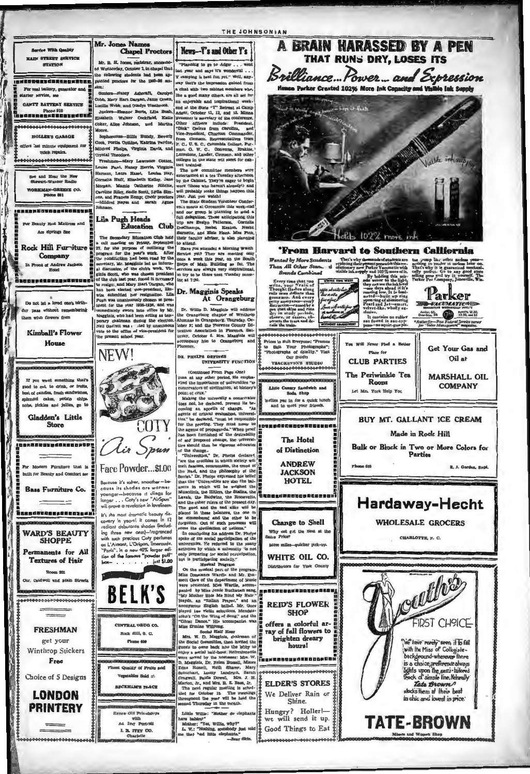